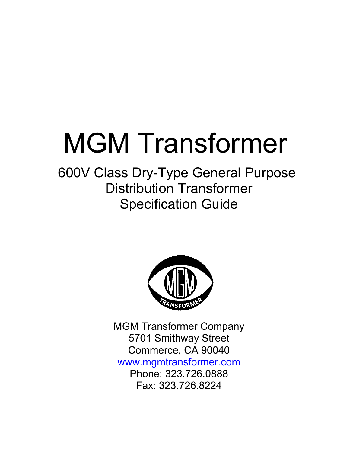# MGM Transformer

## 600V Class Dry-Type General Purpose Distribution Transformer Specification Guide



MGM Transformer Company 5701 Smithway Street Commerce, CA 90040 [www.mgmtransformer.com](http://www.mgmtransformer.com/) Phone: 323.726.0888 Fax: 323.726.8224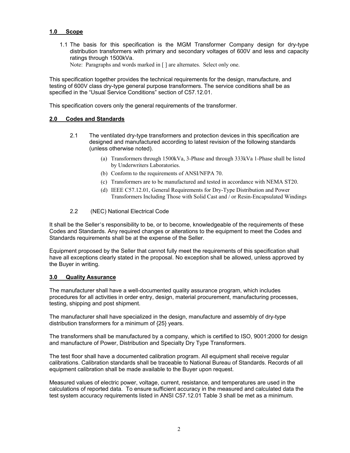#### **1.0 Scope**

- 1.1 The basis for this specification is the MGM Transformer Company design for dry-type distribution transformers with primary and secondary voltages of 600V and less and capacity ratings through 1500kVa.
	- Note: Paragraphs and words marked in [] are alternates. Select only one.

This specification together provides the technical requirements for the design, manufacture, and testing of 600V class dry-type general purpose transformers. The service conditions shall be as specified in the "Usual Service Conditions" section of C57.12.01.

This specification covers only the general requirements of the transformer.

#### **2.0 Codes and Standards**

- 2.1 The ventilated dry-type transformers and protection devices in this specification are designed and manufactured according to latest revision of the following standards (unless otherwise noted).
	- (a) Transformers through 1500kVa, 3-Phase and through 333kVa 1-Phase shall be listed by Underwriters Laboratories.
	- (b) Conform to the requirements of ANSI/NFPA 70.
	- (c) Transformers are to be manufactured and tested in accordance with NEMA ST20.
	- (d) IEEE C57.12.01, General Requirements for Dry-Type Distribution and Power Transformers Including Those with Solid Cast and / or Resin-Encapsulated Windings
- 2.2 (NEC) National Electrical Code

It shall be the Seller's responsibility to be, or to become, knowledgeable of the requirements of these Codes and Standards. Any required changes or alterations to the equipment to meet the Codes and Standards requirements shall be at the expense of the Seller.

Equipment proposed by the Seller that cannot fully meet the requirements of this specification shall have all exceptions clearly stated in the proposal. No exception shall be allowed, unless approved by the Buyer in writing.

#### **3.0 Quality Assurance**

The manufacturer shall have a well-documented quality assurance program, which includes procedures for all activities in order entry, design, material procurement, manufacturing processes, testing, shipping and post shipment.

The manufacturer shall have specialized in the design, manufacture and assembly of dry-type distribution transformers for a minimum of {25} years.

The transformers shall be manufactured by a company, which is certified to ISO, 9001:2000 for design and manufacture of Power, Distribution and Specialty Dry Type Transformers.

The test floor shall have a documented calibration program. All equipment shall receive regular calibrations. Calibration standards shall be traceable to National Bureau of Standards. Records of all equipment calibration shall be made available to the Buyer upon request.

Measured values of electric power, voltage, current, resistance, and temperatures are used in the calculations of reported data. To ensure sufficient accuracy in the measured and calculated data the test system accuracy requirements listed in ANSI C57.12.01 Table 3 shall be met as a minimum.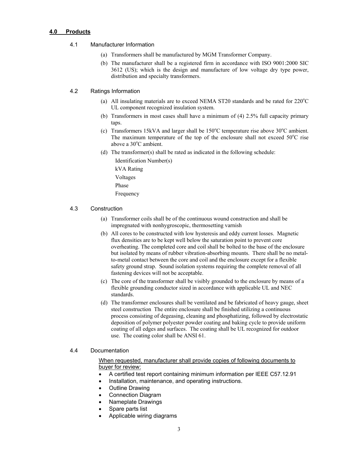#### **4.0 Products**

#### 4.1 Manufacturer Information

- (a) Transformers shall be manufactured by MGM Transformer Company.
- (b) The manufacturer shall be a registered firm in accordance with ISO 9001:2000 SIC 3612 (US); which is the design and manufacture of low voltage dry type power, distribution and specialty transformers.

#### 4.2 Ratings Information

- (a) All insulating materials are to exceed NEMA ST20 standards and be rated for  $220^{\circ}$ C UL component recognized insulation system.
- (b) Transformers in most cases shall have a minimum of (4) 2.5% full capacity primary taps.
- (c) Transformers 15kVA and larger shall be  $150^{\circ}$ C temperature rise above  $30^{\circ}$ C ambient. The maximum temperature of the top of the enclosure shall not exceed  $50^{\circ}$ C rise above a 30°C ambient.
- (d) The transformer(s) shall be rated as indicated in the following schedule:

Identification Number(s)

kVA Rating

Voltages

Phase

Frequency

#### 4.3 Construction

- (a) Transformer coils shall be of the continuous wound construction and shall be impregnated with nonhygroscopic, thermosetting varnish
- (b) All cores to be constructed with low hysteresis and eddy current losses. Magnetic flux densities are to be kept well below the saturation point to prevent core overheating. The completed core and coil shall be bolted to the base of the enclosure but isolated by means of rubber vibration-absorbing mounts. There shall be no metalto-metal contact between the core and coil and the enclosure except for a flexible safety ground strap. Sound isolation systems requiring the complete removal of all fastening devices will not be acceptable.
- (c) The core of the transformer shall be visibly grounded to the enclosure by means of a flexible grounding conductor sized in accordance with applicable UL and NEC standards.
- (d) The transformer enclosures shall be ventilated and be fabricated of heavy gauge, sheet steel construction The entire enclosure shall be finished utilizing a continuous process consisting of degeasing, cleaning and phosphatizing, followed by electrostatic deposition of polymer polyester powder coating and baking cycle to provide uniform coating of all edges and surfaces. The coating shall be UL recognized for outdoor use. The coating color shall be ANSI 61.

#### 4.4 Documentation

When requested, manufacturer shall provide copies of following documents to buyer for review:

- A certified test report containing minimum information per IEEE C57.12.91
- Installation, maintenance, and operating instructions.
- Outline Drawing
- Connection Diagram
- Nameplate Drawings
- Spare parts list
	- Applicable wiring diagrams